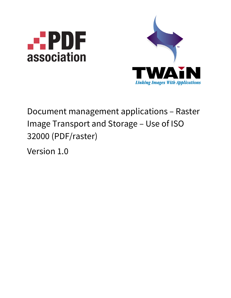



# Document management applications – Raster Image Transport and Storage – Use of ISO 32000 (PDF/raster)

Version 1.0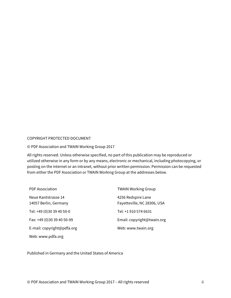#### COPYRIGHT PROTECTED DOCUMENT

#### © PDF Association and TWAIN Working Group 2017

All rights reserved. Unless otherwise specified, no part of this publication may be reproduced or utilized otherwise in any form or by any means, electronic or mechanical, including photocopying, or posting on the internet or an intranet, without prior written permission. Permission can be requested from either the PDF Association or TWAIN Working Group at the addresses below.

| <b>PDF Association</b>                       | <b>TWAIN Working Group</b>                        |  |
|----------------------------------------------|---------------------------------------------------|--|
| Neue Kantstrasse 14<br>14057 Berlin, Germany | 4256 Redspire Lane<br>Fayetteville, NC 28306, USA |  |
| Tel: +49 (0)30 39 40 50-0                    | Tel: +1 910 574 6631                              |  |
| Fax: +49 (0)30 39 40 50-99                   | Email: copyright@twain.org                        |  |
| E-mail: copyright@pdfa.org                   | Web: www.twain.org                                |  |
| Web: www.pdfa.org                            |                                                   |  |

Published in Germany and the United States of America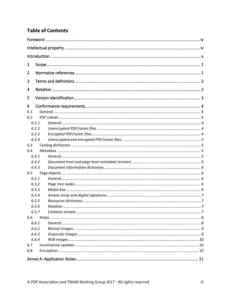# **Table of Contents**

| 1     |    |
|-------|----|
| 2     |    |
| 3     |    |
|       |    |
| 4     |    |
| 5     |    |
| 6     |    |
| 6.1   |    |
| 6.2   |    |
| 6.2.1 |    |
| 6.2.2 |    |
| 6.2.3 |    |
| 6.2.4 |    |
| 6.3   |    |
| 6.4   |    |
| 6.4.1 |    |
| 6.4.2 |    |
| 6.4.3 |    |
| 6.5   |    |
| 6.5.1 |    |
| 6.5.2 |    |
| 6.5.3 |    |
| 6.5.4 |    |
| 6.5.5 |    |
| 6.5.6 |    |
| 6.5.7 |    |
| 6.6   |    |
| 6.6.1 |    |
|       |    |
| 6.6.2 |    |
| 6.6.3 |    |
| 6.6.4 |    |
| 6.7   |    |
| 6.8   |    |
|       | 11 |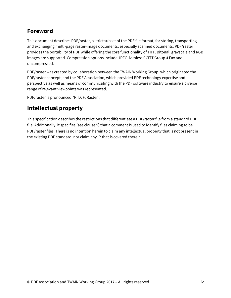# **Foreword**

This document describes PDF/raster, a strict subset of the PDF file format, for storing, transporting and exchanging multi-page raster-image documents, especially scanned documents. PDF/raster provides the portability of PDF while offering the core functionality of TIFF. Bitonal, grayscale and RGB images are supported. Compression options include JPEG, lossless CCITT Group 4 Fax and uncompressed.

PDF/raster was created by collaboration between the TWAIN Working Group, which originated the PDF/raster concept, and the PDF Association, which provided PDF technology expertise and perspective as well as means of communicating with the PDF software industry to ensure a diverse range of relevant viewpoints was represented.

PDF/raster is pronounced "P. D. F. Raster".

# **Intellectual property**

This specification describes the restrictions that differentiate a PDF/raster file from a standard PDF file. Additionally, it specifies (see clause [5\)](#page-7-0) that a comment is used to identify files claiming to be PDF/raster files. There is no intention herein to claim any intellectual property that is not present in the existing PDF standard, nor claim any IP that is covered therein.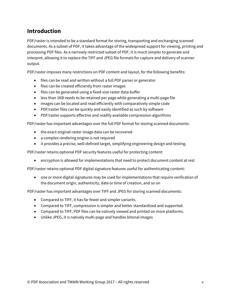# **Introduction**

PDF/raster is intended to be a standard format for storing, transporting and exchanging scanned documents. As a subset of PDF, it takes advantage of the widespread support for viewing, printing and processing PDF files. As a narrowly restricted subset of PDF, it is much simpler to generate and interpret, allowing it to replace the TIFF and JPEG file formats for capture and delivery of scanner output.

PDF/raster imposes many restrictions on PDF content and layout, for the following benefits:

- files can be read and written without a full PDF parser or generator
- files can be created efficiently from raster images
- files can be generated using a fixed-size raster data buffer
- less than 1KB needs to be retained per page while generating a multi-page file
- images can be located and read efficiently with comparatively simple code
- PDF/raster files can be quickly and easily identified as such by software
- PDF/raster supports effective and readily available compression algorithms

PDF/raster has important advantages over the full PDF format for storing scanned documents:

- the exact original raster image data can be recovered
- a complex rendering engine is not required
- it provides a precise, well-defined target, simplifying engineering design and testing.

PDF/raster retains optional PDF security features useful for protecting content:

• encryption is allowed for implementations that need to protect document content at rest

PDF/raster retains optional PDF digital signature features useful for authenticating content:

• one or more digital signatures may be used for implementations that require verification of the document origin, authenticity, date or time of creation, and so on

PDF/raster has important advantages over TIFF and JPEG for storing scanned documents:

- Compared to TIFF, it has far fewer and simpler variants.
- Compared to TIFF, compression is simpler and better standardized and supported.
- Compared to TIFF, PDF files can be natively viewed and printed on more platforms.
- Unlike JPEG, it is natively multi-page and handles bitonal images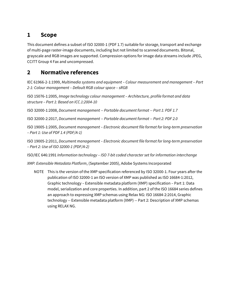# **1 Scope**

This document defines a subset of ISO 32000-1 (PDF 1.7) suitable for storage, transport and exchange of multi-page raster-image documents, including but not limited to scanned documents. Bitonal, grayscale and RGB images are supported. Compression options for image data streams include JPEG, CCITT Group 4 Fax and uncompressed.

# **2 Normative references**

IEC 61966-2-1:1999, *Multimedia systems and equipment – Colour measurement and management – Part 2-1: Colour management – Default RGB colour space – sRGB*

ISO 15076-1:2005, *Image technology colour management – Architecture, profile format and data structure – Part 1: Based on ICC.1:2004-10*

ISO 32000-1:2008, *Document management -- Portable document format -- Part 1: PDF 1.7*

ISO 32000-2:2017, *Document management -- Portable document format -- Part 2: PDF 2.0*

ISO 19005-1:2005, *Document management – Electronic document file format for long-term preservation – Part 1: Use of PDF 1.4 (PDF/A-1)*

ISO 19005-2:2011, *Document management – Electronic document file format for long-term preservation – Part 2: Use of ISO 32000-1 (PDF/A-2)*

ISO/IEC 646:1991 *Information technology – ISO 7-bit coded character set for information interchange*

*XMP: Extensible Metadata Platform*, (September 2005), Adobe Systems Incorporated

NOTE This is the version of the XMP specification referenced by ISO 32000-1. Four years after the publication of ISO 32000-1 an ISO version of XMP was published as ISO 16684-1:2012, Graphic technology – Extensible metadata platform (XMP) specification – Part 1: Data model, serialization and core properties. In addition, part 2 of the ISO 16684 series defines an approach to expressing XMP schemas using Relax NG: ISO 16684-2:2014, Graphic technology -- Extensible metadata platform (XMP) -- Part 2: Description of XMP schemas using RELAX NG.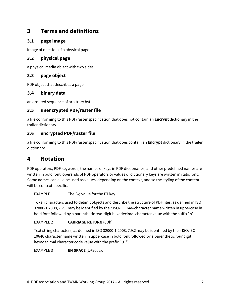# **3 Terms and definitions**

### **3.1 page image**

image of one side of a physical page

## **3.2 physical page**

a physical media object with two sides

## **3.3 page object**

PDF object that describes a page

### **3.4 binary data**

an ordered sequence of arbitrary bytes

### **3.5 unencrypted PDF/raster file**

a file conforming to this PDF/raster specification that does not contain an **Encrypt** dictionary in the trailer dictionary

### **3.6 encrypted PDF/raster file**

a file conforming to this PDF/raster specification that does contain an **Encrypt** dictionary in the trailer dictionary

# **4 Notation**

PDF operators, PDF keywords, the names of keys in PDF dictionaries, and other predefined names are written in bold font; operands of PDF operators or values of dictionary keys are written in italic font. Some names can also be used as values, depending on the context, and so the styling of the content will be context-specific.

EXAMPLE 1 The *Sig* value for the **FT** key.

Token characters used to delimit objects and describe the structure of PDF files, as defined in ISO 32000-1:2008, 7.2.1 may be identified by their ISO/IEC 646-character name written in uppercase in bold font followed by a parenthetic two-digit hexadecimal character value with the suffix "h".

### EXAMPLE 2 **CARRIAGE RETURN** (0Dh).

Text string characters, as defined in ISO 32000-1:2008, 7.9.2 may be identified by their ISO/IEC 10646 character name written in uppercase in bold font followed by a parenthetic four digit hexadecimal character code value with the prefix "U+".

EXAMPLE 3 **EN SPACE** (U+2002).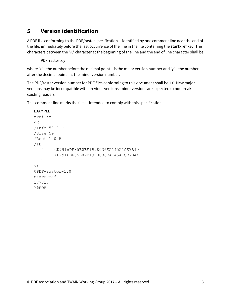# <span id="page-7-0"></span>**5 Version identification**

A PDF file conforming to the PDF/raster specification is identified by one comment line near the end of the file, immediately before the last occurrence of the line in the file containing the **startxref** key. The characters between the '%' character at the beginning of the line and the end of line character shall be

PDF-raster-x.y

where 'x' – the number before the decimal point – is the major version number and 'y' – the number after the decimal point – is the minor version number.

The PDF/raster version number for PDF files conforming to this document shall be 1.0. New major versions may be incompatible with previous versions; minor versions are expected to not break existing readers.

This comment line marks the file as intended to comply with this specification.

```
EXAMPLE
trailer
<</Info 58 0 R
/Size 59
/Root 1 0 R
/ID 
  [ <D7916DF85B0EE1998036EA145A1CE7B4>
        <D7916DF85B0EE1998036EA145A1CE7B4>
  ]
\gt%PDF-raster-1.0 
startxref
177317
%%EOF
```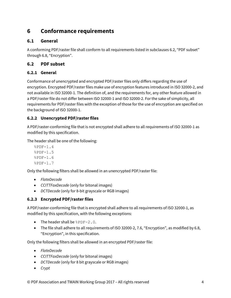# **6 Conformance requirements**

### **6.1 General**

A conforming PDF/raster file shall conform to all requirements listed in subclauses [6.2,](#page-8-0) ["PDF subset"](#page-8-0) throug[h 6.8,](#page-14-0) ["Encryption"](#page-14-0).

### <span id="page-8-0"></span>**6.2 PDF subset**

### **6.2.1 General**

Conformance of unencrypted and encrypted PDF/raster files only differs regarding the use of encryption. Encrypted PDF/raster files make use of encryption features introduced in ISO 32000-2, and not available in ISO 32000-1. The definition of, and the requirements for, any other feature allowed in a PDF/raster file do not differ between ISO 32000-1 and ISO 32000-2. For the sake of simplicity, all requirements for PDF/raster files with the exception of those for the use of encryption are specified on the background of ISO 32000-1.

### **6.2.2 Unencrypted PDF/raster files**

A PDF/raster-conforming file that is not encrypted shall adhere to all requirements of ISO 32000-1 as modified by this specification.

The header shall be one of the following:

 $$PDF-1.4$ %PDF-1.5 %PDF-1.6 %PDF-1.7

Only the following filters shall be allowed in an unencrypted PDF/raster file:

- *FlateDecode*
- *CCITTFaxDecode* (only for bitonal images)
- *DCTDecode* (only for 8-bit grayscale or RGB images)

### **6.2.3 Encrypted PDF/raster files**

A PDF/raster-conforming file that is encrypted shall adhere to all requirements of ISO 32000-1, as modified by this specification, with the following exceptions:

- The header shall be %PDF-2.0.
- The file shall adhere to all requirements of ISO 32000-2, 7.6, "Encryption", as modified by 6.8, "Encryption", in this specification.

Only the following filters shall be allowed in an encrypted PDF/raster file:

- *FlateDecode*
- *CCITTFaxDecode* (only for bitonal images)
- *DCTDecode* (only for 8 bit grayscale or RGB images)
- *Crypt*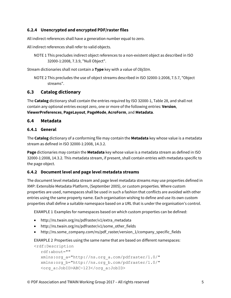### **6.2.4 Unencrypted and encrypted PDF/raster files**

All indirect references shall have a generation number equal to zero.

All indirect references shall refer to valid objects.

```
NOTE 1 This precludes indirect object references to a non-existent object as described in ISO 
        32000-1:2008, 7.3.9, "Null Object".
```
Stream dictionaries shall not contain a **Type** key with a value of *ObjStm*.

```
NOTE 2 This precludes the use of object streams described in ISO 32000-1:2008, 7.5.7, "Object 
       streams".
```
#### **6.3 Catalog dictionary**

The **Catalog** dictionary shall contain the entries required by ISO 32000-1, Table 28, and shall not contain any optional entries except zero, one or more of the following entries: **Version**, **ViewerPreferences**, **PageLayout**, **PageMode**, **AcroForm**, and **Metadata**.

#### **6.4 Metadata**

#### **6.4.1 General**

The **Catalog** dictionary of a conforming file may contain the **Metadata** key whose value is a metadata stream as defined in ISO 32000-1:2008, 14.3.2.

**Page** dictionaries may contain the **Metadata** key whose value is a metadata stream as defined in ISO 32000-1:2008, 14.3.2. This metadata stream, if present, shall contain entries with metadata specific to the page object.

#### **6.4.2 Document level and page level metadata streams**

The document level metadata stream and page level metadata streams may use properties defined in XMP: Extensible Metadata Platform, (September 2005), or custom properties. Where custom properties are used, namespaces shall be used in such a fashion that conflicts are avoided with other entries using the same property name. Each organisation wishing to define and use its own custom properties shall define a suitable namespace based on a URL that is under the organisation's control.

EXAMPLE 1 Examples for namespaces based on which custom properties can be defined:

- http://ns.twain.org/ns/pdfraster/v1/extra\_metadata
- http://ns.twain.org/ns/pdfraster/v1/some other fields
- http://ns.some\_company.com/ns/pdf\_raster/version\_1/company\_specific\_fields

EXAMPLE 2 Properties using the same name that are based on different namespaces:

```
<rdf:Description 
  rdf:about=""
  xmlns:org_a="http://ns.org_a.com/pdfraster/1.0/"
  xmlns:org_b="http://ns.org_b.com/pdfraster/1.0/"
  <org_a:JobID>ABC-123</org_a:JobID>
```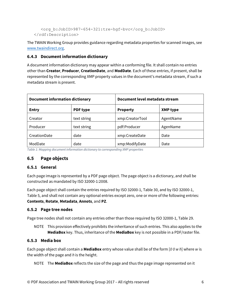```
<org_b:JobID>987-654-321:tre-hgf-bvc</org_b:JobID>
</rdf:Description>
```
The TWAIN Working Group provides guidance regarding metadata properties for scanned images, see [www.twaindirect.org.](http://www.twaindirect.org/)

#### **6.4.3 Document information dictionary**

A document information dictionary may appear within a conforming file. It shall contain no entries other than **Creator**, **Producer**, **CreationDate**, and **ModDate**. Each of these entries, if present, shall be represented by the corresponding XMP property values in the document's metadata stream, if such a metadata stream is present.

| <b>Document information dictionary</b> |                 | Document level metadata stream |                 |
|----------------------------------------|-----------------|--------------------------------|-----------------|
| <b>Entry</b>                           | <b>PDF type</b> | <b>Property</b>                | <b>XMP type</b> |
| Creator                                | text string     | xmp:CreatorTool                | AgentName       |
| Producer                               | text string     | pdf:Producer                   | AgenName        |
| CreationDate                           | date            | xmp:CreateDate                 | Date            |
| ModDate                                | date            | xmp:ModifyDate                 | Date            |

*Table 1: Mapping document information dictionary to corresponding XMP properties*

### **6.5 Page objects**

#### **6.5.1 General**

Each page image is represented by a PDF page object. The page object is a dictionary, and shall be constructed as mandated by ISO 32000-1:2008.

Each page object shall contain the entries required by ISO 32000-1, Table 30, and by ISO 32000-1, Table 5, and shall not contain any optional entries except zero, one or more of the following entries: **Contents**, **Rotate**, **Metadata**, **Annots**, and **PZ**.

#### **6.5.2 Page tree nodes**

Page tree nodes shall not contain any entries other than those required by ISO 32000-1, Table 29.

NOTE This provision effectively prohibits the inheritance of such entries. This also applies to the **MediaBox** key. Thus, inheritance of the **MediaBox** key is not possible in a PDF/raster file.

#### **6.5.3 Media box**

Each page object shall contain a **MediaBox** entry whose value shall be of the form [*0 0 w h*] where *w* is the width of the page and *h* is the height.

NOTE The **MediaBox** reflects the size of the page and thus the page image represented on it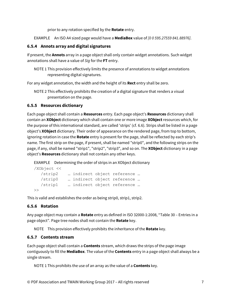prior to any rotation specified by the **Rotate** entry.

EXAMPLE An ISO A4 sized page would have a **MediaBox** value of *[0 0 595.27559 841.88976]*.

#### **6.5.4 Annots array and digital signatures**

If present, the **Annots** array in a page object shall only contain widget annotations. Such widget annotations shall have a value of *Sig* for the **FT** entry.

NOTE 1 This provision effectively limits the presence of annotations to widget annotations representing digital signatures.

For any widget annotation, the width and the height of its **Rect** entry shall be zero.

NOTE 2 This effectively prohibits the creation of a digital signature that renders a visual presentation on the page.

#### <span id="page-11-0"></span>**6.5.5 Resources dictionary**

Each page object shall contain a **Resources** entry. Each page object's **Resources** dictionary shall contain an **XObject** dictionary which shall contain one or more image **XObject** resources which, for the purpose of this international standard, are called 'strips' (cf. 6.6). Strips shall be listed in a page object's **XObject** dictionary. Their order of appearance on the rendered page, from top to bottom, ignoring rotation in case the **Rotate** entry is present for the page, shall be reflected by each strip's name. The first strip on the page, if present, shall be named "strip0", and the following strips on the page, if any, shall be named "strip1", "strip2", "strip3", and so on. The **XObject** dictionary in a page object's **Resources** dictionary shall not contain any other keys.

EXAMPLE Determining the order of strips in an XObject dictionary

```
/XObject <<
  /strip2 … indirect object reference … 
  /strip0 … indirect object reference …
  /strip1 … indirect object reference …
\rightarrow
```
This is valid and establishes the order as being strip0, strip1, strip2.

#### **6.5.6 Rotation**

Any page object may contain a **Rotate** entry as defined in ISO 32000-1:2008, "Table 30 – Entries in a page object". Page tree nodes shall not contain the **Rotate** key.

NOTE This provision effectively prohibits the inheritance of the **Rotate** key.

#### **6.5.7 Contents stream**

Each page object shall contain a **Contents** stream, which draws the strips of the page image contiguously to fill the **MediaBox**. The value of the **Contents** entry in a page object shall always be a single stream.

NOTE 1 This prohibits the use of an array as the value of a **Contents** key.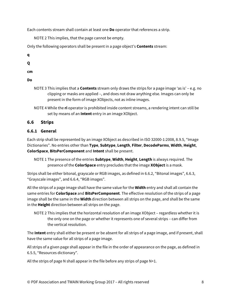Each contents stream shall contain at least one **Do** operator that references a strip.

NOTE 2 This implies, that the page cannot be empty.

Only the following operators shall be present in a page object's **Contents** stream:

**q**

**Q**

**cm**

**Do**

- NOTE 3 This implies that a **Contents** stream only draws the strips for a page image 'as is' e.g. no clipping or masks are applied –, and does not draw anything else. Images can only be present in the form of image XObjects, not as inline images.
- NOTE 4 While the **ri** operator is prohibited inside content streams, a rendering intent can still be set by means of an **Intent** entry in an image XObject.

### **6.6 Strips**

### **6.6.1 General**

Each strip shall be represented by an image XObject as described in ISO 32000-1:2008, 8.9.5, "Image Dictionaries". No entries other than **Type**, **Subtype**, **Length**, **Filter**, **DecodeParms**, **Width**, **Height**, **ColorSpace**, **BitsPerComponent** and **Intent** shall be present.

NOTE 1 The presence of the entries **Subtype**, **Width**, **Height**, **Length** is always required. The presence of the **ColorSpace** entry precludes that the image **XObject** is a mask.

Strips shall be either bitonal, grayscale or RGB images, as defined i[n 6.6.2,](#page-13-0) ["Bitonal images"](#page-13-0), [6.6.3,](#page-13-1) ["Grayscale images"](#page-13-1), and [6.6.4,](#page-14-1) ["RGB images"](#page-14-1).

All the strips of a page image shall have the same value for the **Width** entry and shall all contain the same entries for **ColorSpace** and **BitsPerComponent**. The effective resolution of the strips of a page image shall be the same in the **Width** direction between all strips on the page, and shall be the same in the **Height** direction between all strips on the page.

NOTE 2 This implies that the horizontal resolution of an image XObject – regardless whether it is the only one on the page or whether it represents one of several strips – can differ from the vertical resolution.

The **Intent** entry shall either be present or be absent for all strips of a page image, and if present, shall have the same value for all strips of a page image.

All strips of a given page shall appear in the file in the order of appearance on the page, as defined in [6.5.5,](#page-11-0) ["Resources dictionary"](#page-11-0).

All the strips of page N shall appear in the file before any strips of page N+1.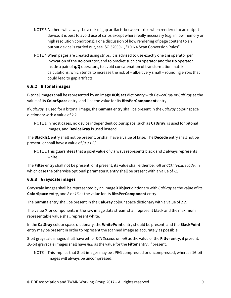- NOTE 3 As there will always be a risk of gap artifacts between strips when rendered to an output device, it is best to avoid use of strips except where really necessary (e.g. in low memory or high resolution conditions). For a discussion of how rendering of page content to an output device is carried out, see ISO 32000-1, "10.6.4 Scan Conversion Rules".
- NOTE 4 When pages are created using strips, it is advised to use exactly one **cm** operator per invocation of the **Do** operator, and to bracket such **cm** operator and the **Do** operator inside a pair of **q**/**Q** operators, to avoid concatenation of transformation matrix calculations, which tends to increase the risk of – albeit very small – rounding errors that could lead to gap artifacts.

#### <span id="page-13-0"></span>**6.6.2 Bitonal images**

Bitonal images shall be represented by an image **XObject** dictionary with *DeviceGray* or *CalGray* as the value of its **ColorSpace** entry, and *1* as the value for its **BitsPerComponent** entry.

If *CalGray* is used for a bitonal image, the **Gamma** entry shall be present in the *CalGray* colour space dictionary with a value of *2.2*.

The **BlackIs1** entry shall not be present, or shall have a value of false. The **Decode** entry shall not be present, or shall have a value of *[0.0 1.0]*.

NOTE 2 This guarantees that a pixel value of *0* always represents black and *1* always represents white.

The **Filter** entry shall not be present, or if present, its value shall either be *null* or *CCITTFaxDecode*, in which case the otherwise optional parameter **K** entry shall be present with a value of *-1*.

#### <span id="page-13-1"></span>**6.6.3 Grayscale images**

Grayscale images shall be represented by an image **XObject** dictionary with *CalGray* as the value of its **ColorSpace** entry, and *8* or *16* as the value for its **BitsPerComponent** entry.

The **Gamma** entry shall be present in the **CalGray** colour space dictionary with a value of *2.2*.

The value *0* for components in the raw image data stream shall represent black and the maximum representable value shall represent white.

In the **CalGray** colour space dictionary, the **WhitePoint** entry should be present, and the **BlackPoint** entry may be present in order to represent the scanned image as accurately as possible.

8-bit grayscale images shall have either *DCTDecode* or *null* as the value of the **Filter** entry, if present. 16-bit grayscale images shall have *null* as the value for the **Filter** entry, if present.

NOTE This implies that 8-bit images may be JPEG compressed or uncompressed, whereas 16-bit images will always be uncompressed.

NOTE 1 In most cases, no device independent colour space, such as **CalGray**, is used for bitonal images, and **DeviceGray** is used instead.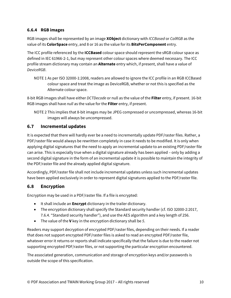#### <span id="page-14-1"></span>**6.6.4 RGB images**

RGB images shall be represented by an image **XObject** dictionary with *ICCBased* or *CalRGB* as the value of its **ColorSpace** entry, and 8 or 16 as the value for its **BitsPerComponent** entry.

The ICC profile referenced by the **ICCBased** colour space should represent the sRGB colour space as defined in IEC 61966-2-1, but may represent other colour spaces where deemed necessary. The ICC profile stream dictionary may contain an **Alternate** entry which, if present, shall have a value of *DeviceRGB*.

NOTE 1 As per ISO 32000-1:2008, readers are allowed to ignore the ICC profile in an RGB ICCBased colour space and treat the image as DeviceRGB, whether or not this is specified as the Alternate colour space.

8-bit RGB images shall have either *DCTDecode* or null as the value of the **Filter** entry, if present. 16-bit RGB images shall have *null* as the value for the **Filter** entry, if present.

NOTE 2 This implies that 8-bit images may be JPEG compressed or uncompressed, whereas 16-bit images will always be uncompressed.

### **6.7 Incremental updates**

It is expected that there will hardly ever be a need to incrementally update PDF/raster files. Rather, a PDF/raster file would always be rewritten completely in case it needs to be modified. It is only when applying digital signatures that the need to apply an incremental update to an existing PDF/raster file can arise. This is especially true when a digital signature already has been applied – only by adding a second digital signature in the form of an incremental update it is possible to maintain the integrity of the PDF/raster file and the already applied digital signature.

Accordingly, PDF/raster file shall not include incremental updates unless such incremental updates have been applied exclusively in order to represent digital signatures applied to the PDF/raster file.

### <span id="page-14-0"></span>**6.8 Encryption**

Encryption may be used in a PDF/raster file. If a file is encrypted:

- It shall include an **Encrypt** dictionary in the trailer dictionary.
- The encryption dictionary shall specify the Standard security handler (cf. ISO 32000-2:2017, 7.6.4. "Standard security handler"), and use the AES algorithm and a key length of 256.
- The value of the **V** key in the encryption dictionary shall be *5*.

Readers may support decryption of encrypted PDF/raster files, depending on their needs. If a reader that does not support encrypted PDF/raster files is asked to read an encrypted PDF/raster file, whatever error it returns or reports shall indicate specifically that the failure is due to the reader not supporting encrypted PDF/raster files, or not supporting the particular encryption encountered.

The associated generation, communication and storage of encryption keys and/or passwords is outside the scope of this specification.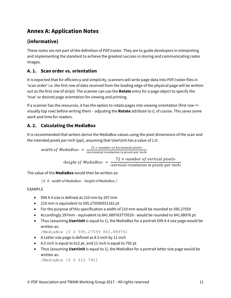# **Annex A: Application Notes**

# **(informative)**

These notes are not part of the definition of PDF/raster. They are to guide developers in interpreting and implementing the standard to achieve the greatest success in storing and communicating raster images.

# **A. 1. Scan order vs. orientation**

It is expected that for efficiency and simplicity, scanners will write page data into PDF/raster files in 'scan order' i.e. the first row of data received from the leading edge of the physical page will be written out as the first row of strip0. The scanner can use the **Rotate** entry for a page object to specify the 'true' or desired page orientation for viewing and printing.

If a scanner has the resources, it has the option to rotate pages into viewing orientation (first row => visually top row) before writing them – adjusting the **Rotate** attribute to *0*, of course. This saves some work and time for readers.

# **A. 2. Calculating the MediaBox**

It is recommended that writers derive the MediaBox values using the pixel dimensions of the scan and the intended pixels per inch (ppi), assuming that UserUnit has a value of 1.0:

width of MediaBox>  $=$   $\frac{72 \times \text{number of horizontal pixels}}{\text{horizontal resolution in pixels per inch}}$ height of MediaBox =  $\frac{72 \times \text{number of vertical pixels}}{\text{vertical resolution in pixels per inch}}$ 

The value of the **MediaBox** would then be written as:

*[ 0 0 ‹width of MediaBox› ‹height of MediaBox› ]*

### EXAMPLE

- DIN A 4 size is defined as 210 mm by 297 mm
- 210 mm is equivalent to 595.275590551181 pt
- For the purpose of this specification a width of 210 mm would be rounded to 595.27559
- Accordingly 297mm equivalent to 841.889763779528 would be rounded to 841.88976 pt
- Thus (assuming **UserUnit** is equal to 1), the MediaBox for a portrait DIN A 4 size page would be written as:

/MediaBox [0 0 595.27559 841.88976]

- A Letter size page is defined as 8.5 inch by 11 inch
- 8.5 inch is equal to 612 pt, and 11 inch is equal to 792 pt
- Thus (assuming **UserUnit** is equal to 1), the MediaBox for a portrait letter size page would be written as:

```
/MediaBox [0 0 612 792]
```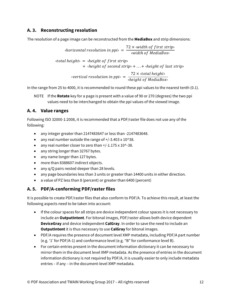### **A. 3. Reconstructing resolution**

The resolution of a page image can be reconstructed from the **MediaBox** and strip dimensions:

$$
\langle horizontal\, resolution\, in\, ppi\rangle = \frac{72 \times \langle width\, of\, first\, strip\rangle}{\langle width\, of\, MediaBox\rangle}
$$
\n
$$
\langle total\, height\rangle = \langle height\, of\, first\, strip\rangle
$$

$$
+ \text{ 'height of second strip} + ... + \text{ 'height of last strip}
$$

$$
\langle vertical\ resolution\ in\ ppi\rangle = \frac{72 \times \langle total\ height\rangle}{\langle height\ of\ MediaBox\rangle}
$$

In the range from 25 to 4000, it is recommended to round these ppi values to the nearest tenth (0.1).

NOTE If the **Rotate** key for a page is present with a value of 90 or 270 (degrees) the two ppi values need to be interchanged to obtain the ppi values of the viewed image.

#### **A. 4. Value ranges**

Following ISO 32000-1:2008, it is recommended that a PDF/raster file does not use any of the following:

- any integer greater than 2147483647 or less than -2147483648.
- any real number outside the range of +/-3.403 x 10^38.
- any real number closer to zero than +/-1.175 x 10^-38.
- any string longer than 32767 bytes.
- any name longer than 127 bytes.
- more than 8388607 indirect objects.
- any q/Q pairs nested deeper than 28 levels.
- any page boundaries less than 3 units or greater than 14400 units in either direction.
- a value of PZ less than 8 (percent) or greater than 6400 (percent)

### **A. 5. PDF/A-conforming PDF/raster files**

It is possible to create PDF/raster files that also conform to PDF/A. To achieve this result, at least the following aspects need to be taken into account:

- If the colour spaces for all strips are device independent colour spaces it is not necessary to include an **OutputIntent**. For bitonal images, PDF/raster allows both device dependent **DeviceGray** and device independent **CalGray**. In order to save the need to include an **OutputIntent** it is thus necessary to use **CalGray** for bitonal images.
- PDF/A requires the presence of document level XMP metadata, including PDF/A part number (e.g. '1' for PDF/A-1) and conformance level (e.g. "B" for conformance level B).
- For certain entries present in the document information dictionary it can be necessary to mirror them in the document level XMP metadata. As the presence of entries in the document information dictionary is not required by PDF/A, it is usually easier to only include metadata entries – if any – in the document-level XMP metadata.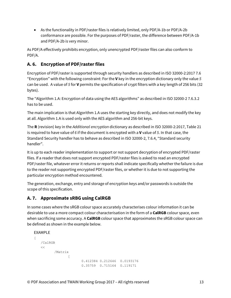• As the functionality in PDF/raster files is relatively limited, only PDF/A-1b or PDF/A-2b conformance are possible. For the purposes of PDF/raster, the difference between PDF/A-1b and PDF/A-2b is very minor.

As PDF/A effectively prohibits encryption, only unencrypted PDF/raster files can also conform to PDF/A.

# **A. 6. Encryption of PDF/raster files**

Encryption of PDF/raster is supported through security handlers as described in ISO 32000-2:2017 7.6 "Encryption" with the following constraint: For the **V** key in the encryption dictionary only the value *5* can be used. A value of *5* for **V** permits the specification of crypt filters with a key length of 256 bits (32 bytes).

The "Algorithm 1.A: Encryption of data using the AES algorithms" as described in ISO 32000-2 7.6.3.2 has to be used.

The main implication is that Algorithm 1.A uses the starting key directly, and does not modify the key at all. Algorithm 1.A is used only with the AES algorithm and 256-bit keys.

The **R** (revision) key in the *Additional encryption* dictionary as described in ISO 32000-2:2017, Table 21 is required to have value of *6* if the document is encrypted with a **V** value of *5*. In that case, the Standard Security handler has to behave as described in ISO 32000-2, 7.6.4, "Standard security handler".

It is up to each reader implementation to support or not support decryption of encrypted PDF/raster files. If a reader that does not support encrypted PDF/raster files is asked to read an encrypted PDF/raster file, whatever error it returns or reports shall indicate specifically whether the failure is due to the reader not supporting encrypted PDF/raster files, or whether it is due to not supporting the particular encryption method encountered.

The generation, exchange, entry and storage of encryption keys and/or passwords is outside the scope of this specification.

### **A. 7. Approximate sRBG using CalRGB**

In some cases where the sRGB colour space accurately characterises colour information it can be desirable to use a more compact colour characterisation in the form of a **CalRGB** colour space, even when sacrificing some accuracy. A **CalRGB** colour space that approximates the sRGB colour space can be defined as shown in the example below.

#### EXAMPLE

```
\sqrt{2}/CalRGB
   <</Matrix
                  \lceil0.412384 0.212646 0.0193176 
                          0.35759 0.715164 0.119171
```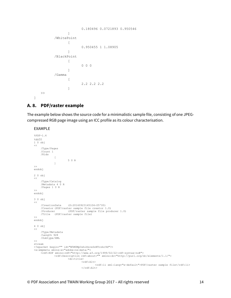```
0.180496 0.0721893 0.950546
                   ]
           /WhitePoint
                   \lceil0.950455 1 1.08905
                   ]
           /BlackPoint
                   [
                          0 0 0
                   ]
           /Gamma
                   [
                          2.2 2.2 2.2
                   ]
   >\,]
```
#### **A. 8. PDF/raster example**

The example below shows the source code for a minimalistic sample file, consisting of one JPEGcompressed RGB page image using an ICC profile as its colour characterisation.

#### EXAMPLE

```
%PDF-1.4
%âãÏÓ
1 0 obj
<</Type/Pages
     /Count 1
/Kids
               [
                         5 0 R
               ]
>>
endobj
2 0 obj
<</Type/Catalog
     /Metadata 4 0 R
     /Pages 1 0 R
\rightarrowendobj
3 0 obj
<</CreationDate (D:20160923145104-05'00)
     /Creator (PDF/raster sample file creator 1.0)
/Producer (PDF/raster sample file producer 1.0)
     /Title (PDF/raster sample file)
>>
endobj
4 0 obj
<</Type/Metadata
     /Length 928
     /Subtype/XML
>>
stream
<?xpacket begin="" id="W5M0MpCehiHzreSzNTczkc9d"?>
<x:xmpmeta xmlns:x="adobe:ns:meta/">
     <rdf:RDF xmlns:rdf="http://www.w3.org/1999/02/22-rdf-syntax-ns#">
<rdf:Description rdf:about="" xmlns:dc="http://purl.org/dc/elements/1.1/"> 
                         <dc:title>
                                    <rdf:Alt>
                                              <rdf:li xml:lang="x-default">PDF/raster sample file</rdf:li>
                                    \langlerdf:Alt>
```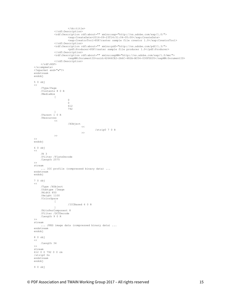```
</dc:title>
              \langle /rdf:Description>
              <rdf:Description rdf:about="" xmlns:xap="http://ns.adobe.com/xap/1.0/"> 
                        <xap:CreateDate>2016-09-23T14:51:04-05:00</xap:CreateDate>
                       <xap:CreatorTool>PDF/raster sample file creator 1.0</xap:CreatorTool>
              \langle /rdf:Description>
              <rdf:Description rdf:about="" xmlns:pdf="http://ns.adobe.com/pdf/1.3/">
                       <pdf:Producer>PDF/raster sample file producer 1.0</pdf:Producer>
              \langle/rdf:Description>
              <rdf:Description rdf:about="" xmlns:xapMM="http://ns.adobe.com/xap/1.0/mm/">
                        <xapMM:DocumentID>uuid:42646CE2-2A6C-482A-BC04-030FDD35</xapMM:DocumentID>
              </rdf:Description>
    \langle/rdf:RDF>
</x:xmpmeta>
<?xpacket end="w"?>
endstream
endobj
5 0 obj
<</Type/Page
     /Contents 8 0 R
     /MediaBox 
              [
                       \Omega\Omega612 
                       792
     ]
/Parent 1 0 R
     /Resources
              \overline{<}/XObject
                                \,<\,/strip0 7 0 R
                                >>
             >>
>>
endobj
6 0 obj
<</N 3 
    /Filter /FlateDecode 
    /Length 2575 
\rightarrowstream
     ... ICC profile (compressed binary data) ... 
endstream
endobj
7 0 obj
<</Type /XObject 
     /Subtype /Image 
     /Width 850
     /Height 1100 
    /ColorSpace 
            \overline{\phantom{a}}/ICCBased 6 0 R 
             ] 
     /BitsPerComponent 8 
     /Filter /DCTDecode 
    /Length 9 0 R 
\rightarrowstream
     ... JPEG image data (compressed binary data) ... 
endstream
endobj
8 0 obj
<</Length 34
\rightarrowstream
612 0 0 792 0 0 cm 
/strip0 Do 
endstream
endobj
9 0 obj
```